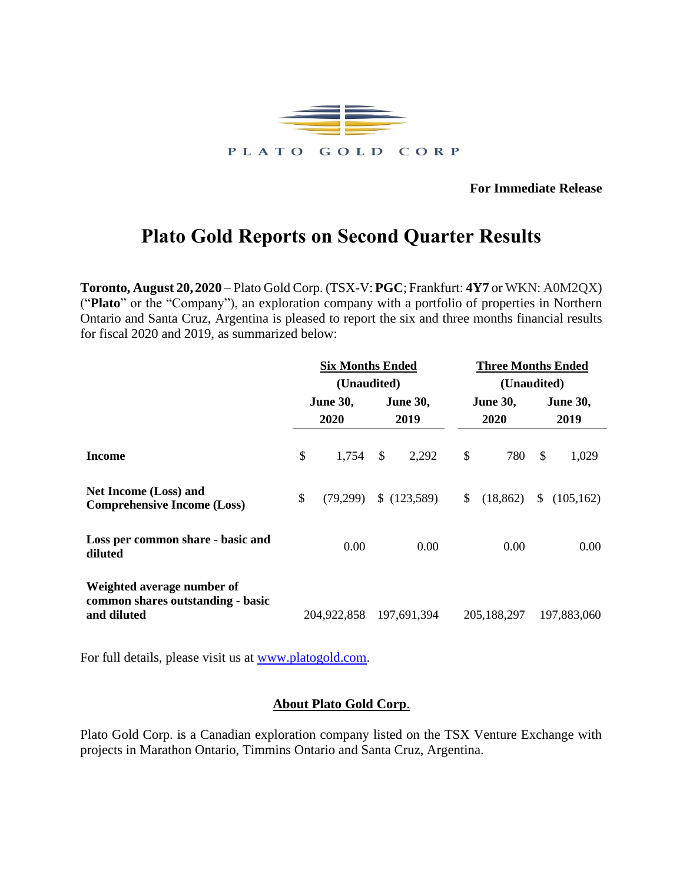

**For Immediate Release**

## **Plato Gold Reports on Second Quarter Results**

**Toronto, August 20, 2020** – Plato Gold Corp. (TSX-V:**PGC**; Frankfurt: **4Y7** or WKN: A0M2QX) ("**Plato**" or the "Company"), an exploration company with a portfolio of properties in Northern Ontario and Santa Cruz, Argentina is pleased to report the six and three months financial results for fiscal 2020 and 2019, as summarized below:

|                                                                                | <b>Six Months Ended</b><br>(Unaudited) |             |                 |             | <b>Three Months Ended</b><br>(Unaudited) |               |                 |                |  |
|--------------------------------------------------------------------------------|----------------------------------------|-------------|-----------------|-------------|------------------------------------------|---------------|-----------------|----------------|--|
|                                                                                |                                        |             |                 |             |                                          |               |                 |                |  |
|                                                                                | <b>June 30,</b>                        |             | <b>June 30,</b> |             | <b>June 30,</b>                          |               | <b>June 30,</b> |                |  |
|                                                                                |                                        | 2020        |                 | 2019        |                                          | 2020          |                 | 2019           |  |
| <b>Income</b>                                                                  | \$                                     | 1,754       | $\mathbb{S}$    | 2,292       | $\mathcal{S}$                            | 780           | $\mathcal{S}$   | 1,029          |  |
| <b>Net Income (Loss) and</b><br><b>Comprehensive Income (Loss)</b>             | \$                                     | (79,299)    |                 | (123,589)   | \$                                       | (18, 862)     |                 | (105, 162)     |  |
| Loss per common share - basic and<br>diluted                                   |                                        | 0.00        |                 | 0.00        |                                          | 0.00          |                 | $0.00^{\circ}$ |  |
| Weighted average number of<br>common shares outstanding - basic<br>and diluted |                                        | 204,922,858 |                 | 197,691,394 |                                          | 205, 188, 297 |                 | 197,883,060    |  |

For full details, please visit us at [www.platogold.com.](http://www.platogold.com/)

## **About Plato Gold Corp**.

Plato Gold Corp. is a Canadian exploration company listed on the TSX Venture Exchange with projects in Marathon Ontario, Timmins Ontario and Santa Cruz, Argentina.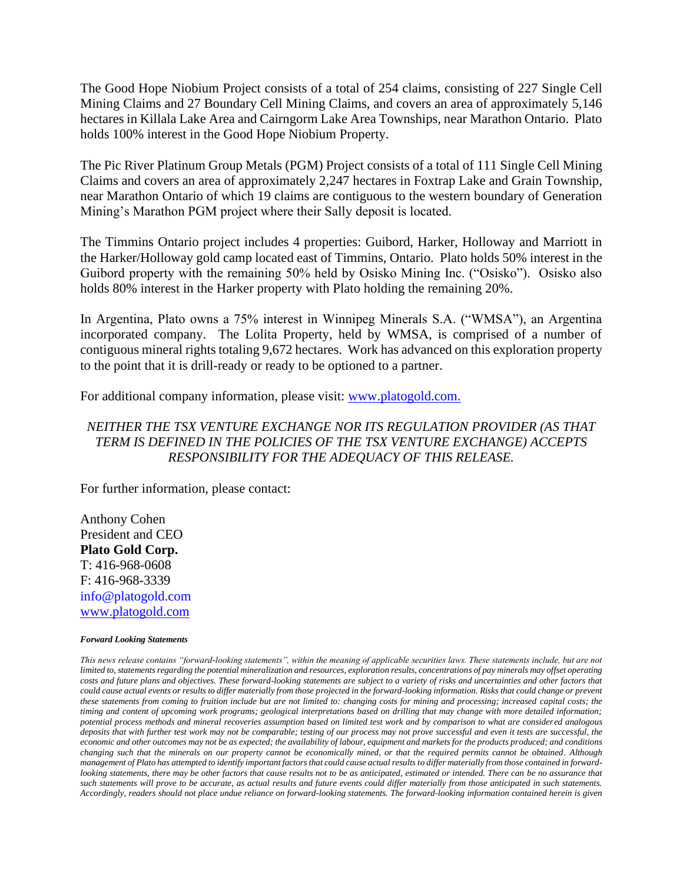The Good Hope Niobium Project consists of a total of 254 claims, consisting of 227 Single Cell Mining Claims and 27 Boundary Cell Mining Claims, and covers an area of approximately 5,146 hectares in Killala Lake Area and Cairngorm Lake Area Townships, near Marathon Ontario. Plato holds 100% interest in the Good Hope Niobium Property.

The Pic River Platinum Group Metals (PGM) Project consists of a total of 111 Single Cell Mining Claims and covers an area of approximately 2,247 hectares in Foxtrap Lake and Grain Township, near Marathon Ontario of which 19 claims are contiguous to the western boundary of Generation Mining's Marathon PGM project where their Sally deposit is located.

The Timmins Ontario project includes 4 properties: Guibord, Harker, Holloway and Marriott in the Harker/Holloway gold camp located east of Timmins, Ontario. Plato holds 50% interest in the Guibord property with the remaining 50% held by Osisko Mining Inc. ("Osisko"). Osisko also holds 80% interest in the Harker property with Plato holding the remaining 20%.

In Argentina, Plato owns a 75% interest in Winnipeg Minerals S.A. ("WMSA"), an Argentina incorporated company. The Lolita Property, held by WMSA, is comprised of a number of contiguous mineral rights totaling 9,672 hectares. Work has advanced on this exploration property to the point that it is drill-ready or ready to be optioned to a partner.

For additional company information, please visit: [www.platogold.com.](http://www.platogold.com/)

## *NEITHER THE TSX VENTURE EXCHANGE NOR ITS REGULATION PROVIDER (AS THAT TERM IS DEFINED IN THE POLICIES OF THE TSX VENTURE EXCHANGE) ACCEPTS RESPONSIBILITY FOR THE ADEQUACY OF THIS RELEASE.*

For further information, please contact:

Anthony Cohen President and CEO **Plato Gold Corp.** T: 416-968-0608 F: 416-968-3339 info@platogold.com [www.platogold.com](http://www.platogold.com/)

## *Forward Looking Statements*

*This news release contains "forward-looking statements", within the meaning of applicable securities laws. These statements include, but are not limited to, statements regarding the potential mineralization and resources, exploration results, concentrations of pay minerals may offset operating costs and future plans and objectives. These forward-looking statements are subject to a variety of risks and uncertainties and other factors that could cause actual events or results to differ materially from those projected in the forward-looking information. Risks that could change or prevent these statements from coming to fruition include but are not limited to: changing costs for mining and processing; increased capital costs; the timing and content of upcoming work programs; geological interpretations based on drilling that may change with more detailed information; potential process methods and mineral recoveries assumption based on limited test work and by comparison to what are considered analogous deposits that with further test work may not be comparable; testing of our process may not prove successful and even it tests are successful, the economic and other outcomes may not be as expected; the availability of labour, equipment and markets for the products produced; and conditions changing such that the minerals on our property cannot be economically mined, or that the required permits cannot be obtained. Although management of Plato has attempted to identify important factors that could cause actual results to differ materially from those contained in forwardlooking statements, there may be other factors that cause results not to be as anticipated, estimated or intended. There can be no assurance that such statements will prove to be accurate, as actual results and future events could differ materially from those anticipated in such statements. Accordingly, readers should not place undue reliance on forward-looking statements. The forward-looking information contained herein is given*